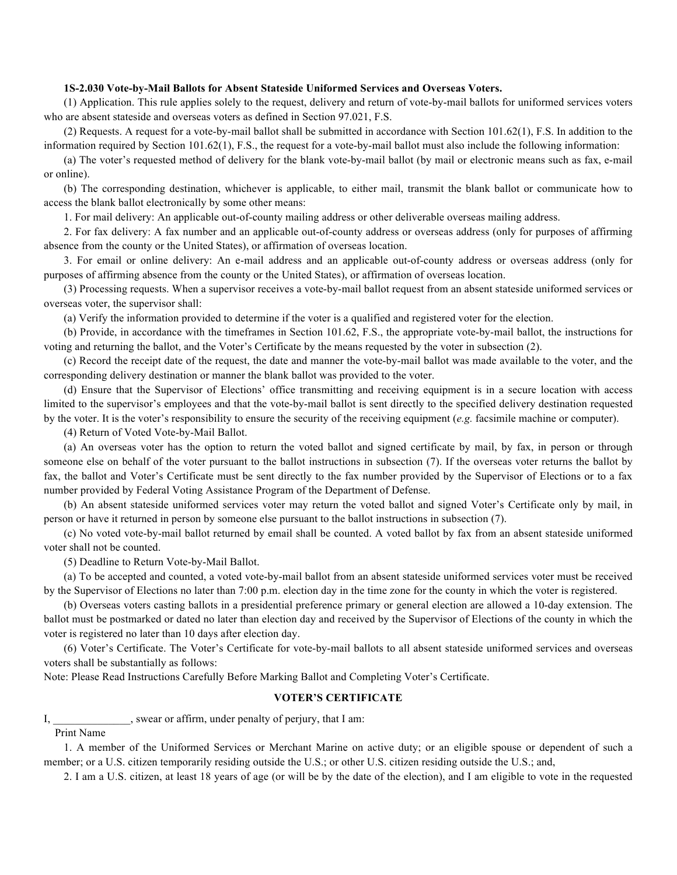## **1S-2.030 Vote-by-Mail Ballots for Absent Stateside Uniformed Services and Overseas Voters.**

(1) Application. This rule applies solely to the request, delivery and return of vote-by-mail ballots for uniformed services voters who are absent stateside and overseas voters as defined in Section 97.021, F.S.

(2) Requests. A request for a vote-by-mail ballot shall be submitted in accordance with Section 101.62(1), F.S. In addition to the information required by Section 101.62(1), F.S., the request for a vote-by-mail ballot must also include the following information:

(a) The voter's requested method of delivery for the blank vote-by-mail ballot (by mail or electronic means such as fax, e-mail or online).

(b) The corresponding destination, whichever is applicable, to either mail, transmit the blank ballot or communicate how to access the blank ballot electronically by some other means:

1. For mail delivery: An applicable out-of-county mailing address or other deliverable overseas mailing address.

2. For fax delivery: A fax number and an applicable out-of-county address or overseas address (only for purposes of affirming absence from the county or the United States), or affirmation of overseas location.

3. For email or online delivery: An e-mail address and an applicable out-of-county address or overseas address (only for purposes of affirming absence from the county or the United States), or affirmation of overseas location.

(3) Processing requests. When a supervisor receives a vote-by-mail ballot request from an absent stateside uniformed services or overseas voter, the supervisor shall:

(a) Verify the information provided to determine if the voter is a qualified and registered voter for the election.

(b) Provide, in accordance with the timeframes in Section 101.62, F.S., the appropriate vote-by-mail ballot, the instructions for voting and returning the ballot, and the Voter's Certificate by the means requested by the voter in subsection (2).

(c) Record the receipt date of the request, the date and manner the vote-by-mail ballot was made available to the voter, and the corresponding delivery destination or manner the blank ballot was provided to the voter.

(d) Ensure that the Supervisor of Elections' office transmitting and receiving equipment is in a secure location with access limited to the supervisor's employees and that the vote-by-mail ballot is sent directly to the specified delivery destination requested by the voter. It is the voter's responsibility to ensure the security of the receiving equipment (*e.g.* facsimile machine or computer).

(4) Return of Voted Vote-by-Mail Ballot.

(a) An overseas voter has the option to return the voted ballot and signed certificate by mail, by fax, in person or through someone else on behalf of the voter pursuant to the ballot instructions in subsection (7). If the overseas voter returns the ballot by fax, the ballot and Voter's Certificate must be sent directly to the fax number provided by the Supervisor of Elections or to a fax number provided by Federal Voting Assistance Program of the Department of Defense.

(b) An absent stateside uniformed services voter may return the voted ballot and signed Voter's Certificate only by mail, in person or have it returned in person by someone else pursuant to the ballot instructions in subsection (7).

(c) No voted vote-by-mail ballot returned by email shall be counted. A voted ballot by fax from an absent stateside uniformed voter shall not be counted.

(5) Deadline to Return Vote-by-Mail Ballot.

(a) To be accepted and counted, a voted vote-by-mail ballot from an absent stateside uniformed services voter must be received by the Supervisor of Elections no later than 7:00 p.m. election day in the time zone for the county in which the voter is registered.

(b) Overseas voters casting ballots in a presidential preference primary or general election are allowed a 10-day extension. The ballot must be postmarked or dated no later than election day and received by the Supervisor of Elections of the county in which the voter is registered no later than 10 days after election day.

(6) Voter's Certificate. The Voter's Certificate for vote-by-mail ballots to all absent stateside uniformed services and overseas voters shall be substantially as follows:

Note: Please Read Instructions Carefully Before Marking Ballot and Completing Voter's Certificate.

## **VOTER'S CERTIFICATE**

I, swear or affirm, under penalty of perjury, that I am:

Print Name

1. A member of the Uniformed Services or Merchant Marine on active duty; or an eligible spouse or dependent of such a member; or a U.S. citizen temporarily residing outside the U.S.; or other U.S. citizen residing outside the U.S.; and,

2. I am a U.S. citizen, at least 18 years of age (or will be by the date of the election), and I am eligible to vote in the requested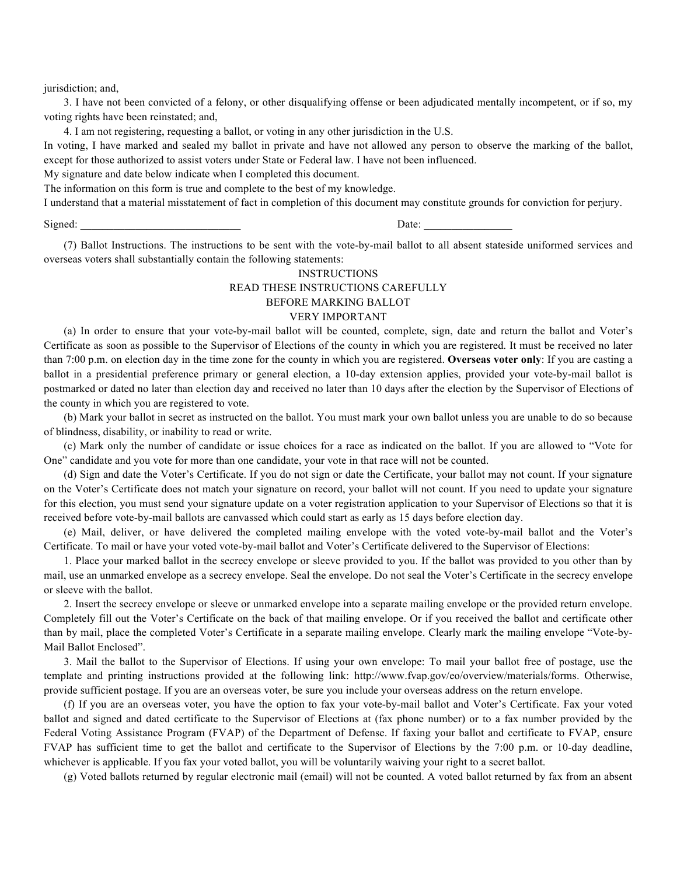jurisdiction; and,

3. I have not been convicted of a felony, or other disqualifying offense or been adjudicated mentally incompetent, or if so, my voting rights have been reinstated; and,

4. I am not registering, requesting a ballot, or voting in any other jurisdiction in the U.S.

In voting, I have marked and sealed my ballot in private and have not allowed any person to observe the marking of the ballot, except for those authorized to assist voters under State or Federal law. I have not been influenced.

My signature and date below indicate when I completed this document.

The information on this form is true and complete to the best of my knowledge.

I understand that a material misstatement of fact in completion of this document may constitute grounds for conviction for perjury.

Signed: \_\_\_\_\_\_\_\_\_\_\_\_\_\_\_\_\_\_\_\_\_\_\_\_\_\_\_\_\_ Date: \_\_\_\_\_\_\_\_\_\_\_\_\_\_\_\_

(7) Ballot Instructions. The instructions to be sent with the vote-by-mail ballot to all absent stateside uniformed services and overseas voters shall substantially contain the following statements:

## INSTRUCTIONS READ THESE INSTRUCTIONS CAREFULLY BEFORE MARKING BALLOT

## VERY IMPORTANT

(a) In order to ensure that your vote-by-mail ballot will be counted, complete, sign, date and return the ballot and Voter's Certificate as soon as possible to the Supervisor of Elections of the county in which you are registered. It must be received no later than 7:00 p.m. on election day in the time zone for the county in which you are registered. **Overseas voter only**: If you are casting a ballot in a presidential preference primary or general election, a 10-day extension applies, provided your vote-by-mail ballot is postmarked or dated no later than election day and received no later than 10 days after the election by the Supervisor of Elections of the county in which you are registered to vote.

(b) Mark your ballot in secret as instructed on the ballot. You must mark your own ballot unless you are unable to do so because of blindness, disability, or inability to read or write.

(c) Mark only the number of candidate or issue choices for a race as indicated on the ballot. If you are allowed to "Vote for One" candidate and you vote for more than one candidate, your vote in that race will not be counted.

(d) Sign and date the Voter's Certificate. If you do not sign or date the Certificate, your ballot may not count. If your signature on the Voter's Certificate does not match your signature on record, your ballot will not count. If you need to update your signature for this election, you must send your signature update on a voter registration application to your Supervisor of Elections so that it is received before vote-by-mail ballots are canvassed which could start as early as 15 days before election day.

(e) Mail, deliver, or have delivered the completed mailing envelope with the voted vote-by-mail ballot and the Voter's Certificate. To mail or have your voted vote-by-mail ballot and Voter's Certificate delivered to the Supervisor of Elections:

1. Place your marked ballot in the secrecy envelope or sleeve provided to you. If the ballot was provided to you other than by mail, use an unmarked envelope as a secrecy envelope. Seal the envelope. Do not seal the Voter's Certificate in the secrecy envelope or sleeve with the ballot.

2. Insert the secrecy envelope or sleeve or unmarked envelope into a separate mailing envelope or the provided return envelope. Completely fill out the Voter's Certificate on the back of that mailing envelope. Or if you received the ballot and certificate other than by mail, place the completed Voter's Certificate in a separate mailing envelope. Clearly mark the mailing envelope "Vote-by-Mail Ballot Enclosed".

3. Mail the ballot to the Supervisor of Elections. If using your own envelope: To mail your ballot free of postage, use the template and printing instructions provided at the following link: http://www.fvap.gov/eo/overview/materials/forms. Otherwise, provide sufficient postage. If you are an overseas voter, be sure you include your overseas address on the return envelope.

(f) If you are an overseas voter, you have the option to fax your vote-by-mail ballot and Voter's Certificate. Fax your voted ballot and signed and dated certificate to the Supervisor of Elections at (fax phone number) or to a fax number provided by the Federal Voting Assistance Program (FVAP) of the Department of Defense. If faxing your ballot and certificate to FVAP, ensure FVAP has sufficient time to get the ballot and certificate to the Supervisor of Elections by the 7:00 p.m. or 10-day deadline, whichever is applicable. If you fax your voted ballot, you will be voluntarily waiving your right to a secret ballot.

(g) Voted ballots returned by regular electronic mail (email) will not be counted. A voted ballot returned by fax from an absent